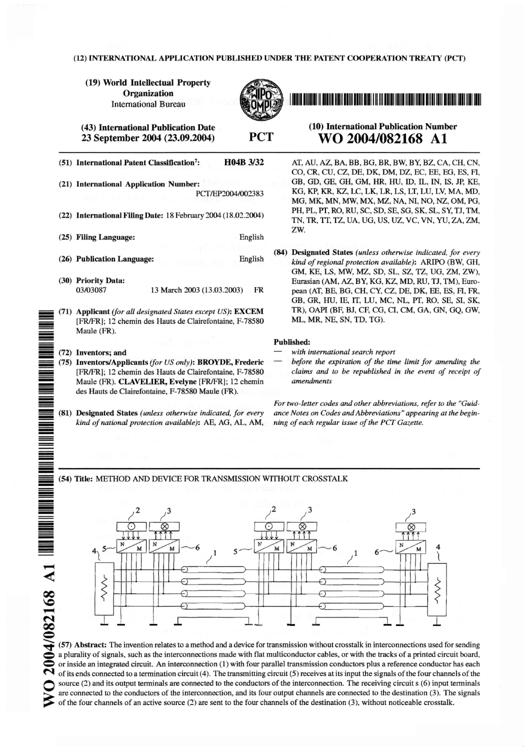#### (12) INTERNATIONAL APPLICATION PUBLISHED UNDER THE PATENT COOPERATION TREATY (PCT)

(19) World Intellectual Property Organization **International Bureau** 



**PCT** 

(43) International Publication Date 23 September 2004 (23.09.2004)

| H04B 3/32<br>(51) International Patent Classification <sup>7</sup> :                                                                                                                                                          |  |
|-------------------------------------------------------------------------------------------------------------------------------------------------------------------------------------------------------------------------------|--|
| (21) International Application Number:<br>PCT/EP2004/002383                                                                                                                                                                   |  |
| (22) International Filing Date: 18 February 2004 (18.02.2004)                                                                                                                                                                 |  |
| (25) Filing Language:<br>English                                                                                                                                                                                              |  |
| (26) Publication Language:<br>English                                                                                                                                                                                         |  |
| (30) Priority Data:<br>03/03087<br>13 March 2003 (13.03.2003)<br>FR                                                                                                                                                           |  |
| (71) Applicant (for all designated States except US): EXCEM<br>[FR/FR]; 12 chemin des Hauts de Clairefontaine, F-78580<br>Maule (FR).                                                                                         |  |
|                                                                                                                                                                                                                               |  |
| (72) Inventors; and                                                                                                                                                                                                           |  |
| (75) Inventors/Applicants (for US only): BROYDE, Frederic<br>[FR/FR]; 12 chemin des Hauts de Clairefontaine, F-78580<br>Maule (FR). CLAVELIER, Evelyne [FR/FR]; 12 chemin<br>des Hauts de Clairefontaine, F-78580 Maule (FR). |  |
|                                                                                                                                                                                                                               |  |
| (81) Designated States (unless otherwise indicated, for every<br>kind of national protection available): AE, AG, AL, AM,                                                                                                      |  |

### (10) International Publication Number WO 2004/082168 A1

AT, AU, AZ, BA, BB, BG, BR, BW, BY, BZ, CA, CH, CN, CO, CR, CU, CZ, DE, DK, DM, DZ, EC, EE, EG, ES, FI, GB, GD, GE, GH, GM, HR, HU, ID, IL, IN, IS, JP, KE, KG, KP, KR, KZ, LC, LK, LR, LS, LT, LU, LV, MA, MD, MG, MK, MN, MW, MX, MZ, NA, NI, NO, NZ, OM, PG, PH. PL. PT. RO. RU. SC. SD. SE. SG. SK. SL. SY. TJ. TM. TN, TR, TT, TZ, UA, UG, US, UZ, VC, VN, YU, ZA, ZM, ZW.

(84) Designated States (unless otherwise indicated, for every kind of regional protection available): ARIPO (BW, GH, GM, KE, LS, MW, MZ, SD, SL, SZ, TZ, UG, ZM, ZW), Eurasian (AM, AZ, BY, KG, KZ, MD, RU, TJ, TM), European (AT, BE, BG, CH, CY, CZ, DE, DK, EE, ES, FI, FR, GB, GR, HU, IE, IT, LU, MC, NL, PT, RO, SE, SI, SK, TR), OAPI (BF, BJ, CF, CG, CI, CM, GA, GN, GO, GW, ML, MR, NE, SN, TD, TG).

#### Published:

- with international search report
- before the expiration of the time limit for amending the claims and to be republished in the event of receipt of amendments

For two-letter codes and other abbreviations, refer to the "Guidance Notes on Codes and Abbreviations" appearing at the beginning of each regular issue of the PCT Gazette.

#### (54) Title: METHOD AND DEVICE FOR TRANSMISSION WITHOUT CROSSTALK



(57) Abstract: The invention relates to a method and a device for transmission without crosstalk in interconnections used for sending a plurality of signals, such as the interconnections made with flat multiconductor cables, or with the tracks of a printed circuit board, or inside an integrated circuit. An interconnection (1) with four parallel transmission conductors plus a reference conductor has each of its ends connected to a termination circuit  $(4)$ . The transmitting circuit  $(5)$  receives at its input the signals of the four channels of the source (2) and its output terminals are connected to the conductors of the interconnection. The receiving circuit s (6) input terminals are connected to the conductors of the interconnection, and its four output channels are connected to the destination (3). The signals of the four channels of an active source  $(2)$  are sent to the four channels of the destination  $(3)$ , without noticeable crosstalk.

2004/082168 A1

≰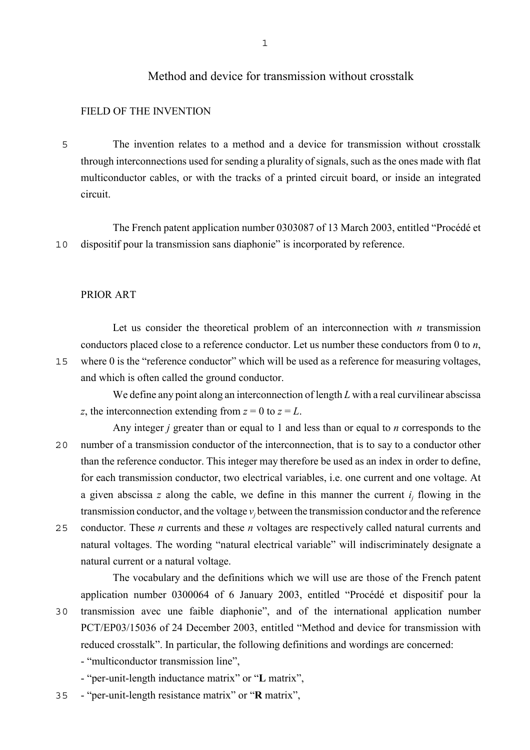# Method and device for transmission without crosstalk

### FIELD OF THE INVENTION

5 The invention relates to a method and a device for transmission without crosstalk through interconnections used for sending a plurality of signals, such as the ones made with flat multiconductor cables, or with the tracks of a printed circuit board, or inside an integrated circuit.

The French patent application number 0303087 of 13 March 2003, entitled "Procédé et 10 dispositif pour la transmission sans diaphonie" is incorporated by reference.

#### PRIOR ART

Let us consider the theoretical problem of an interconnection with *n* transmission conductors placed close to a reference conductor. Let us number these conductors from 0 to *n*, 15 where 0 is the "reference conductor" which will be used as a reference for measuring voltages, and which is often called the ground conductor.

We define any point along an interconnection of length *L* with a real curvilinear abscissa *z*, the interconnection extending from  $z = 0$  to  $z = L$ .

- Any integer *j* greater than or equal to 1 and less than or equal to *n* corresponds to the 20 number of a transmission conductor of the interconnection, that is to say to a conductor other than the reference conductor. This integer may therefore be used as an index in order to define, for each transmission conductor, two electrical variables, i.e. one current and one voltage. At a given abscissa  $z$  along the cable, we define in this manner the current  $i_j$  flowing in the transmission conductor, and the voltage  $v_j$  between the transmission conductor and the reference
- 25 conductor. These *n* currents and these *n* voltages are respectively called natural currents and natural voltages. The wording "natural electrical variable" will indiscriminately designate a natural current or a natural voltage.

The vocabulary and the definitions which we will use are those of the French patent application number 0300064 of 6 January 2003, entitled "Procédé et dispositif pour la 30 transmission avec une faible diaphonie", and of the international application number PCT/EP03/15036 of 24 December 2003, entitled "Method and device for transmission with reduced crosstalk". In particular, the following definitions and wordings are concerned:

- "multiconductor transmission line",

- "per-unit-length inductance matrix" or "**L** matrix",

35 - "per-unit-length resistance matrix" or "**R** matrix",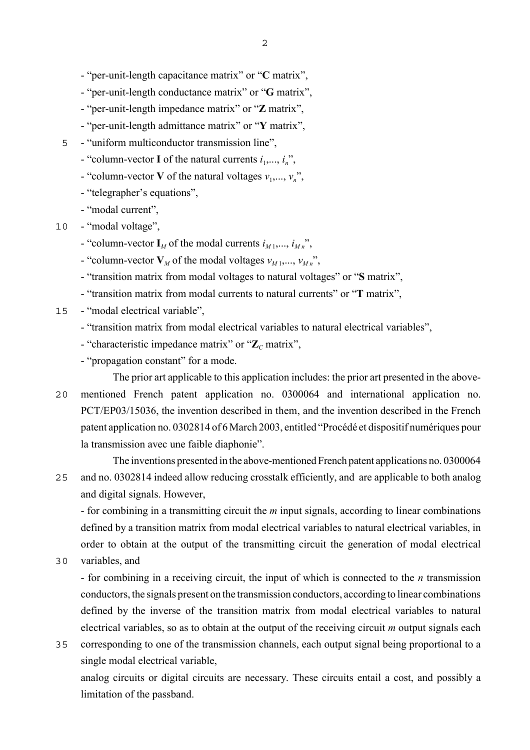- "per-unit-length capacitance matrix" or "**C** matrix",
- "per-unit-length conductance matrix" or "**G** matrix",
- "per-unit-length impedance matrix" or "**Z** matrix",
- "per-unit-length admittance matrix" or "**Y** matrix",
- 5 "uniform multiconductor transmission line",
	- "column-vector **I** of the natural currents  $i_1, \ldots, i_n$ ",
	- "column-vector **V** of the natural voltages  $v_1, \ldots, v_n$ ",
	- "telegrapher's equations",
	- "modal current",
- 10 "modal voltage",
	- "column-vector  $\mathbf{I}_M$  of the modal currents  $i_{M_1},..., i_{M_n}$ ",
	- "column-vector  $V_M$  of the modal voltages  $v_{M_1},..., v_{M_n}$ ",
	- "transition matrix from modal voltages to natural voltages" or "**S** matrix",
	- "transition matrix from modal currents to natural currents" or "**T** matrix",
- 15 "modal electrical variable",
	- "transition matrix from modal electrical variables to natural electrical variables",
	- "characteristic impedance matrix" or " $\mathbb{Z}_C$  matrix",
	- "propagation constant" for a mode.

The prior art applicable to this application includes: the prior art presented in the above-20 mentioned French patent application no. 0300064 and international application no. PCT/EP03/15036, the invention described in them, and the invention described in the French patent application no. 0302814 of 6 March 2003, entitled "Procédé et dispositif numériques pour la transmission avec une faible diaphonie".

The inventions presented in the above-mentioned French patent applications no. 0300064 25 and no. 0302814 indeed allow reducing crosstalk efficiently, and are applicable to both analog and digital signals. However,

- for combining in a transmitting circuit the *m* input signals, according to linear combinations defined by a transition matrix from modal electrical variables to natural electrical variables, in order to obtain at the output of the transmitting circuit the generation of modal electrical

30 variables, and

- for combining in a receiving circuit, the input of which is connected to the *n* transmission conductors, the signals present on the transmission conductors, according to linear combinations defined by the inverse of the transition matrix from modal electrical variables to natural electrical variables, so as to obtain at the output of the receiving circuit *m* output signals each

35 corresponding to one of the transmission channels, each output signal being proportional to a single modal electrical variable,

analog circuits or digital circuits are necessary. These circuits entail a cost, and possibly a limitation of the passband.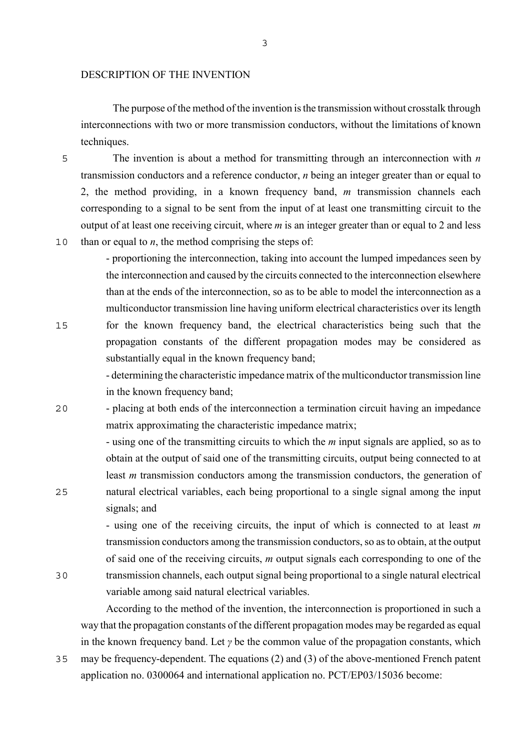#### DESCRIPTION OF THE INVENTION

The purpose of the method of the invention is the transmission without crosstalk through interconnections with two or more transmission conductors, without the limitations of known techniques.

5 The invention is about a method for transmitting through an interconnection with *n* transmission conductors and a reference conductor, *n* being an integer greater than or equal to 2, the method providing, in a known frequency band, *m* transmission channels each corresponding to a signal to be sent from the input of at least one transmitting circuit to the output of at least one receiving circuit, where *m* is an integer greater than or equal to 2 and less 10 than or equal to  $n$ , the method comprising the steps of:

- proportioning the interconnection, taking into account the lumped impedances seen by the interconnection and caused by the circuits connected to the interconnection elsewhere than at the ends of the interconnection, so as to be able to model the interconnection as a multiconductor transmission line having uniform electrical characteristics over its length 15 for the known frequency band, the electrical characteristics being such that the

propagation constants of the different propagation modes may be considered as substantially equal in the known frequency band;

- determining the characteristic impedance matrix of the multiconductor transmission line in the known frequency band;

20 - placing at both ends of the interconnection a termination circuit having an impedance matrix approximating the characteristic impedance matrix;

- using one of the transmitting circuits to which the *m* input signals are applied, so as to obtain at the output of said one of the transmitting circuits, output being connected to at least *m* transmission conductors among the transmission conductors, the generation of 25 natural electrical variables, each being proportional to a single signal among the input signals; and

- using one of the receiving circuits, the input of which is connected to at least *m* transmission conductors among the transmission conductors, so as to obtain, at the output of said one of the receiving circuits, *m* output signals each corresponding to one of the 30 transmission channels, each output signal being proportional to a single natural electrical variable among said natural electrical variables.

According to the method of the invention, the interconnection is proportioned in such a way that the propagation constants of the different propagation modes may be regarded as equal in the known frequency band. Let *γ* be the common value of the propagation constants, which

35 may be frequency-dependent. The equations (2) and (3) of the above-mentioned French patent application no. 0300064 and international application no. PCT/EP03/15036 become: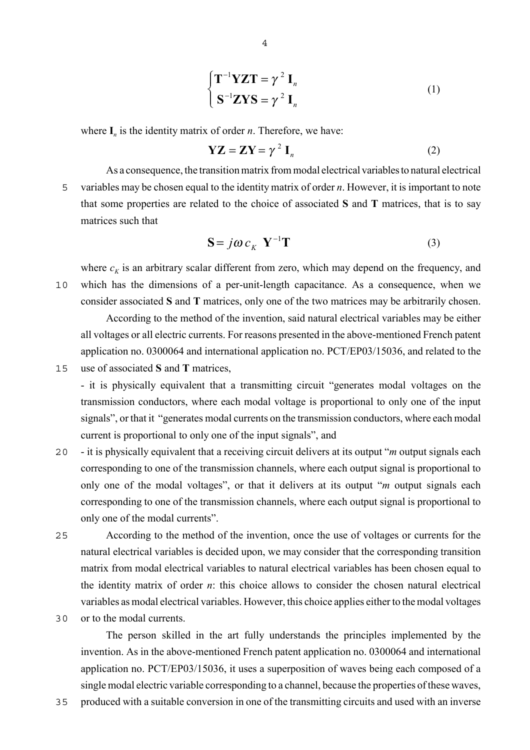$$
\begin{cases}\n\mathbf{T}^{-1}\mathbf{YZ}\mathbf{T} = \gamma^2 \mathbf{I}_n \\
\mathbf{S}^{-1}\mathbf{Z}\mathbf{Y}\mathbf{S} = \gamma^2 \mathbf{I}_n\n\end{cases}
$$
\n(1)

where  $I_n$  is the identity matrix of order *n*. Therefore, we have:

$$
YZ = ZY = \gamma^2 I_n \tag{2}
$$

As a consequence, the transition matrix from modal electrical variables to natural electrical 5 variables may be chosen equal to the identity matrix of order *n*. However, it is important to note that some properties are related to the choice of associated **S** and **T** matrices, that is to say matrices such that

$$
\mathbf{S} = j\boldsymbol{\omega} \, \boldsymbol{c}_K \, \mathbf{Y}^{-1} \mathbf{T} \tag{3}
$$

where  $c_K$  is an arbitrary scalar different from zero, which may depend on the frequency, and 10 which has the dimensions of a per-unit-length capacitance. As a consequence, when we consider associated **S** and **T** matrices, only one of the two matrices may be arbitrarily chosen.

According to the method of the invention, said natural electrical variables may be either all voltages or all electric currents. For reasons presented in the above-mentioned French patent application no. 0300064 and international application no. PCT/EP03/15036, and related to the

15 use of associated **S** and **T** matrices,

- it is physically equivalent that a transmitting circuit "generates modal voltages on the transmission conductors, where each modal voltage is proportional to only one of the input signals", or that it "generates modal currents on the transmission conductors, where each modal current is proportional to only one of the input signals", and

- 20 it is physically equivalent that a receiving circuit delivers at its output "*m* output signals each corresponding to one of the transmission channels, where each output signal is proportional to only one of the modal voltages", or that it delivers at its output "*m* output signals each corresponding to one of the transmission channels, where each output signal is proportional to only one of the modal currents".
- 25 According to the method of the invention, once the use of voltages or currents for the natural electrical variables is decided upon, we may consider that the corresponding transition matrix from modal electrical variables to natural electrical variables has been chosen equal to the identity matrix of order *n*: this choice allows to consider the chosen natural electrical variables as modal electrical variables. However, this choice applies either to the modal voltages
- 30 or to the modal currents.

The person skilled in the art fully understands the principles implemented by the invention. As in the above-mentioned French patent application no. 0300064 and international application no. PCT/EP03/15036, it uses a superposition of waves being each composed of a single modal electric variable corresponding to a channel, because the properties of these waves,

35 produced with a suitable conversion in one of the transmitting circuits and used with an inverse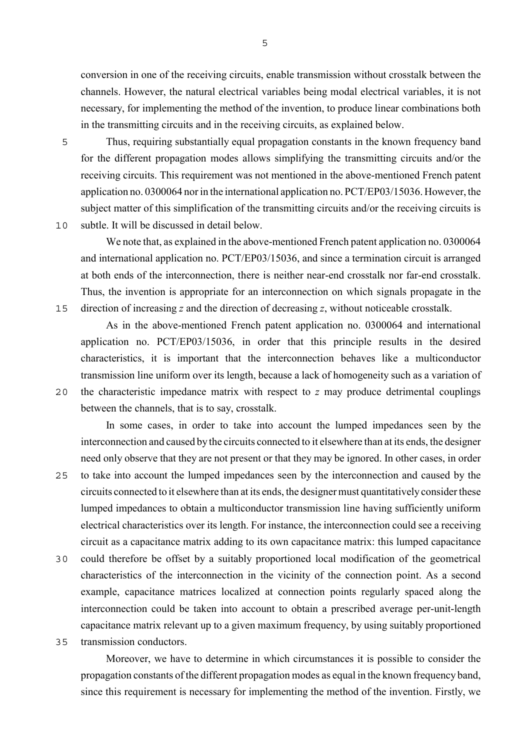conversion in one of the receiving circuits, enable transmission without crosstalk between the channels. However, the natural electrical variables being modal electrical variables, it is not necessary, for implementing the method of the invention, to produce linear combinations both in the transmitting circuits and in the receiving circuits, as explained below.

5 Thus, requiring substantially equal propagation constants in the known frequency band for the different propagation modes allows simplifying the transmitting circuits and/or the receiving circuits. This requirement was not mentioned in the above-mentioned French patent application no. 0300064 nor in the international application no. PCT/EP03/15036. However, the subject matter of this simplification of the transmitting circuits and/or the receiving circuits is 10 subtle. It will be discussed in detail below.

We note that, as explained in the above-mentioned French patent application no. 0300064 and international application no. PCT/EP03/15036, and since a termination circuit is arranged at both ends of the interconnection, there is neither near-end crosstalk nor far-end crosstalk. Thus, the invention is appropriate for an interconnection on which signals propagate in the 15 direction of increasing *z* and the direction of decreasing *z*, without noticeable crosstalk.

As in the above-mentioned French patent application no. 0300064 and international application no. PCT/EP03/15036, in order that this principle results in the desired characteristics, it is important that the interconnection behaves like a multiconductor transmission line uniform over its length, because a lack of homogeneity such as a variation of 20 the characteristic impedance matrix with respect to *z* may produce detrimental couplings between the channels, that is to say, crosstalk.

In some cases, in order to take into account the lumped impedances seen by the interconnection and caused by the circuits connected to it elsewhere than at its ends, the designer need only observe that they are not present or that they may be ignored. In other cases, in order

25 to take into account the lumped impedances seen by the interconnection and caused by the circuits connected to it elsewhere than at its ends, the designer must quantitatively consider these lumped impedances to obtain a multiconductor transmission line having sufficiently uniform electrical characteristics over its length. For instance, the interconnection could see a receiving circuit as a capacitance matrix adding to its own capacitance matrix: this lumped capacitance

- 30 could therefore be offset by a suitably proportioned local modification of the geometrical characteristics of the interconnection in the vicinity of the connection point. As a second example, capacitance matrices localized at connection points regularly spaced along the interconnection could be taken into account to obtain a prescribed average per-unit-length capacitance matrix relevant up to a given maximum frequency, by using suitably proportioned
- 35 transmission conductors.

Moreover, we have to determine in which circumstances it is possible to consider the propagation constants of the different propagation modes as equal in the known frequency band, since this requirement is necessary for implementing the method of the invention. Firstly, we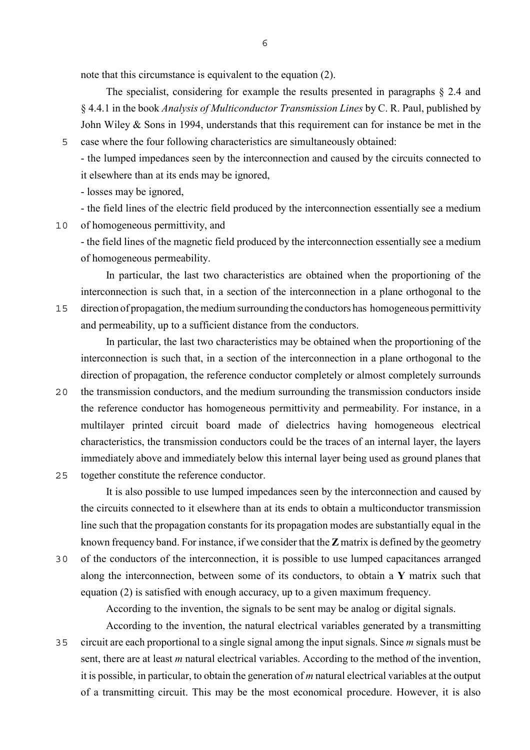note that this circumstance is equivalent to the equation (2).

The specialist, considering for example the results presented in paragraphs § 2.4 and § 4.4.1 in the book *Analysis of Multiconductor Transmission Lines* by C. R. Paul, published by John Wiley & Sons in 1994, understands that this requirement can for instance be met in the

5 case where the four following characteristics are simultaneously obtained:

- the lumped impedances seen by the interconnection and caused by the circuits connected to it elsewhere than at its ends may be ignored,

- losses may be ignored,

- the field lines of the electric field produced by the interconnection essentially see a medium

10 of homogeneous permittivity, and

- the field lines of the magnetic field produced by the interconnection essentially see a medium of homogeneous permeability.

In particular, the last two characteristics are obtained when the proportioning of the interconnection is such that, in a section of the interconnection in a plane orthogonal to the 15 direction of propagation, the medium surrounding the conductors has homogeneous permittivity and permeability, up to a sufficient distance from the conductors.

In particular, the last two characteristics may be obtained when the proportioning of the interconnection is such that, in a section of the interconnection in a plane orthogonal to the direction of propagation, the reference conductor completely or almost completely surrounds

- 20 the transmission conductors, and the medium surrounding the transmission conductors inside the reference conductor has homogeneous permittivity and permeability. For instance, in a multilayer printed circuit board made of dielectrics having homogeneous electrical characteristics, the transmission conductors could be the traces of an internal layer, the layers immediately above and immediately below this internal layer being used as ground planes that
- 25 together constitute the reference conductor.

It is also possible to use lumped impedances seen by the interconnection and caused by the circuits connected to it elsewhere than at its ends to obtain a multiconductor transmission line such that the propagation constants for its propagation modes are substantially equal in the known frequency band. For instance, if we consider that the **Z** matrix is defined by the geometry

30 of the conductors of the interconnection, it is possible to use lumped capacitances arranged along the interconnection, between some of its conductors, to obtain a **Y** matrix such that equation (2) is satisfied with enough accuracy, up to a given maximum frequency.

According to the invention, the signals to be sent may be analog or digital signals.

According to the invention, the natural electrical variables generated by a transmitting 35 circuit are each proportional to a single signal among the input signals. Since *m* signals must be sent, there are at least *m* natural electrical variables. According to the method of the invention, it is possible, in particular, to obtain the generation of *m* natural electrical variables at the output of a transmitting circuit. This may be the most economical procedure. However, it is also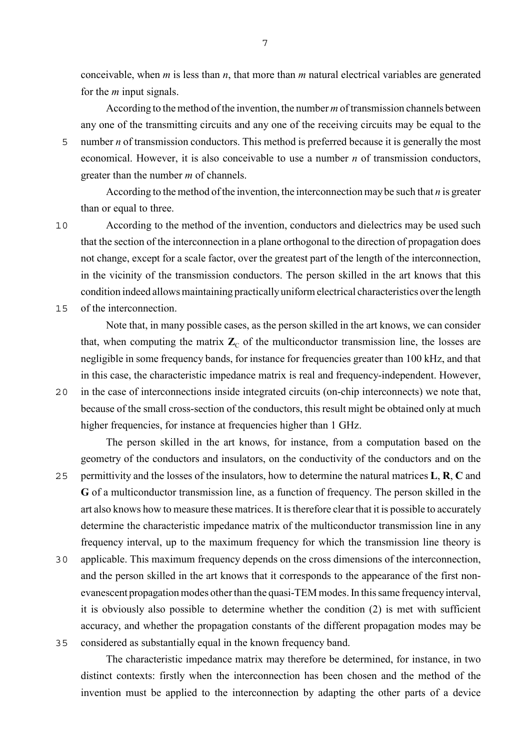conceivable, when *m* is less than *n*, that more than *m* natural electrical variables are generated for the *m* input signals.

According to the method of the invention, the number *m* of transmission channels between any one of the transmitting circuits and any one of the receiving circuits may be equal to the 5 number *n* of transmission conductors. This method is preferred because it is generally the most economical. However, it is also conceivable to use a number *n* of transmission conductors, greater than the number *m* of channels.

According to the method of the invention, the interconnection may be such that *n* is greater than or equal to three.

10 According to the method of the invention, conductors and dielectrics may be used such that the section of the interconnection in a plane orthogonal to the direction of propagation does not change, except for a scale factor, over the greatest part of the length of the interconnection, in the vicinity of the transmission conductors. The person skilled in the art knows that this condition indeed allows maintaining practically uniform electrical characteristics over the length

15 of the interconnection.

Note that, in many possible cases, as the person skilled in the art knows, we can consider that, when computing the matrix  $\mathbb{Z}_{\mathbb{C}}$  of the multiconductor transmission line, the losses are negligible in some frequency bands, for instance for frequencies greater than 100 kHz, and that in this case, the characteristic impedance matrix is real and frequency-independent. However,

20 in the case of interconnections inside integrated circuits (on-chip interconnects) we note that, because of the small cross-section of the conductors, this result might be obtained only at much higher frequencies, for instance at frequencies higher than 1 GHz.

The person skilled in the art knows, for instance, from a computation based on the geometry of the conductors and insulators, on the conductivity of the conductors and on the 25 permittivity and the losses of the insulators, how to determine the natural matrices **L**, **R**, **C** and **G** of a multiconductor transmission line, as a function of frequency. The person skilled in the art also knows how to measure these matrices. It is therefore clear that it is possible to accurately determine the characteristic impedance matrix of the multiconductor transmission line in any frequency interval, up to the maximum frequency for which the transmission line theory is

30 applicable. This maximum frequency depends on the cross dimensions of the interconnection, and the person skilled in the art knows that it corresponds to the appearance of the first nonevanescent propagation modes other than the quasi-TEM modes. In this same frequency interval, it is obviously also possible to determine whether the condition (2) is met with sufficient accuracy, and whether the propagation constants of the different propagation modes may be 35 considered as substantially equal in the known frequency band.

The characteristic impedance matrix may therefore be determined, for instance, in two distinct contexts: firstly when the interconnection has been chosen and the method of the invention must be applied to the interconnection by adapting the other parts of a device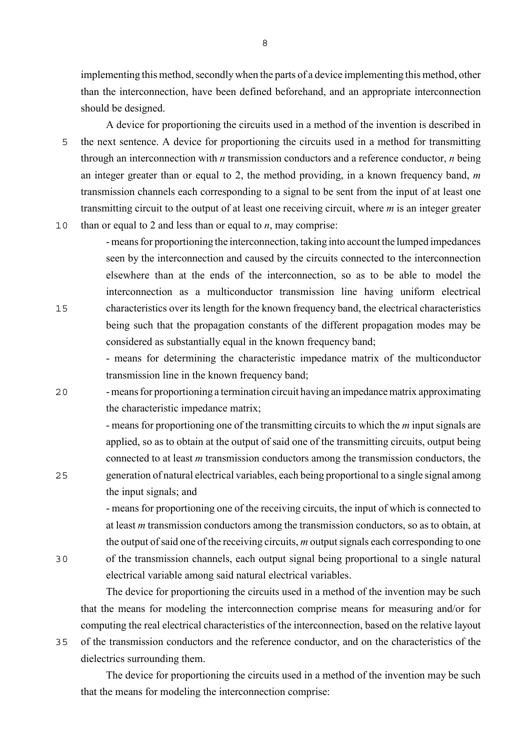implementing this method, secondly when the parts of a device implementing this method, other than the interconnection, have been defined beforehand, and an appropriate interconnection should be designed.

A device for proportioning the circuits used in a method of the invention is described in 5 the next sentence. A device for proportioning the circuits used in a method for transmitting through an interconnection with *n* transmission conductors and a reference conductor, *n* being an integer greater than or equal to 2, the method providing, in a known frequency band, *m* transmission channels each corresponding to a signal to be sent from the input of at least one transmitting circuit to the output of at least one receiving circuit, where *m* is an integer greater

10 than or equal to 2 and less than or equal to *n*, may comprise:

- means for proportioning the interconnection, taking into account the lumped impedances seen by the interconnection and caused by the circuits connected to the interconnection elsewhere than at the ends of the interconnection, so as to be able to model the interconnection as a multiconductor transmission line having uniform electrical 15 characteristics over its length for the known frequency band, the electrical characteristics being such that the propagation constants of the different propagation modes may be considered as substantially equal in the known frequency band;

> - means for determining the characteristic impedance matrix of the multiconductor transmission line in the known frequency band;

20 - means for proportioning a termination circuit having an impedance matrix approximating the characteristic impedance matrix;

- means for proportioning one of the transmitting circuits to which the *m* input signals are applied, so as to obtain at the output of said one of the transmitting circuits, output being connected to at least *m* transmission conductors among the transmission conductors, the 25 generation of natural electrical variables, each being proportional to a single signal among the input signals; and

- means for proportioning one of the receiving circuits, the input of which is connected to at least *m* transmission conductors among the transmission conductors, so as to obtain, at the output of said one of the receiving circuits, *m* output signals each corresponding to one 30 of the transmission channels, each output signal being proportional to a single natural

electrical variable among said natural electrical variables.

The device for proportioning the circuits used in a method of the invention may be such that the means for modeling the interconnection comprise means for measuring and/or for computing the real electrical characteristics of the interconnection, based on the relative layout 35 of the transmission conductors and the reference conductor, and on the characteristics of the dielectrics surrounding them.

The device for proportioning the circuits used in a method of the invention may be such that the means for modeling the interconnection comprise:

8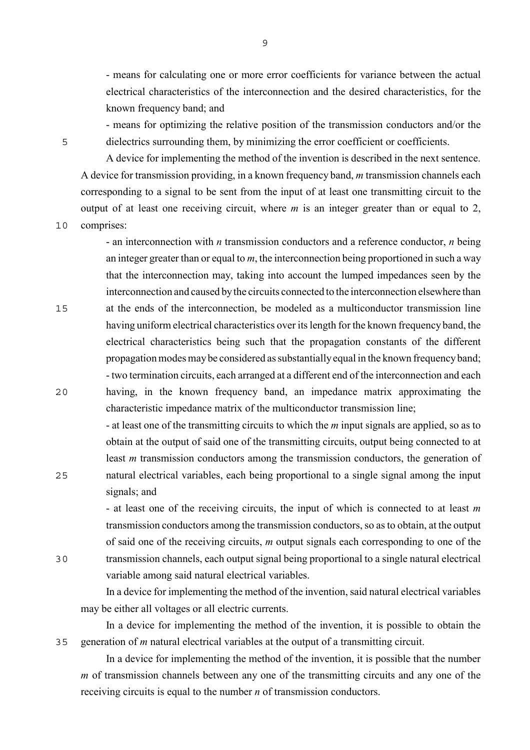- means for calculating one or more error coefficients for variance between the actual electrical characteristics of the interconnection and the desired characteristics, for the known frequency band; and

- means for optimizing the relative position of the transmission conductors and/or the 5 dielectrics surrounding them, by minimizing the error coefficient or coefficients.

A device for implementing the method of the invention is described in the next sentence. A device for transmission providing, in a known frequency band, *m* transmission channels each corresponding to a signal to be sent from the input of at least one transmitting circuit to the output of at least one receiving circuit, where *m* is an integer greater than or equal to 2,

10 comprises:

- an interconnection with *n* transmission conductors and a reference conductor, *n* being an integer greater than or equal to *m*, the interconnection being proportioned in such a way that the interconnection may, taking into account the lumped impedances seen by the interconnection and caused by the circuits connected to the interconnection elsewhere than 15 at the ends of the interconnection, be modeled as a multiconductor transmission line

having uniform electrical characteristics over its length for the known frequency band, the electrical characteristics being such that the propagation constants of the different propagation modes may be considered as substantially equal in the known frequency band; - two termination circuits, each arranged at a different end of the interconnection and each 20 having, in the known frequency band, an impedance matrix approximating the characteristic impedance matrix of the multiconductor transmission line;

- at least one of the transmitting circuits to which the *m* input signals are applied, so as to obtain at the output of said one of the transmitting circuits, output being connected to at least *m* transmission conductors among the transmission conductors, the generation of 25 natural electrical variables, each being proportional to a single signal among the input signals; and

- at least one of the receiving circuits, the input of which is connected to at least *m* transmission conductors among the transmission conductors, so as to obtain, at the output of said one of the receiving circuits, *m* output signals each corresponding to one of the 30 transmission channels, each output signal being proportional to a single natural electrical variable among said natural electrical variables.

In a device for implementing the method of the invention, said natural electrical variables may be either all voltages or all electric currents.

In a device for implementing the method of the invention, it is possible to obtain the 35 generation of *m* natural electrical variables at the output of a transmitting circuit.

In a device for implementing the method of the invention, it is possible that the number *m* of transmission channels between any one of the transmitting circuits and any one of the receiving circuits is equal to the number *n* of transmission conductors.

9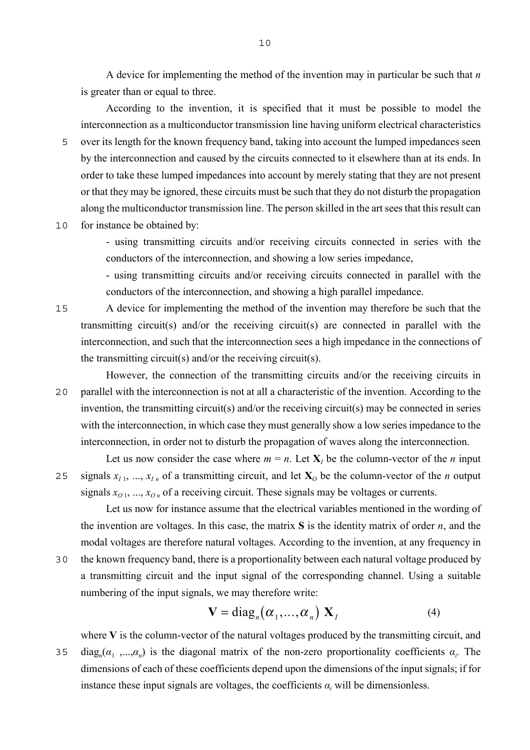A device for implementing the method of the invention may in particular be such that *n* is greater than or equal to three.

According to the invention, it is specified that it must be possible to model the interconnection as a multiconductor transmission line having uniform electrical characteristics 5 over its length for the known frequency band, taking into account the lumped impedances seen by the interconnection and caused by the circuits connected to it elsewhere than at its ends. In order to take these lumped impedances into account by merely stating that they are not present or that they may be ignored, these circuits must be such that they do not disturb the propagation along the multiconductor transmission line. The person skilled in the art sees that this result can

10 for instance be obtained by:

- using transmitting circuits and/or receiving circuits connected in series with the conductors of the interconnection, and showing a low series impedance,

- using transmitting circuits and/or receiving circuits connected in parallel with the conductors of the interconnection, and showing a high parallel impedance.

15 A device for implementing the method of the invention may therefore be such that the transmitting circuit(s) and/or the receiving circuit(s) are connected in parallel with the interconnection, and such that the interconnection sees a high impedance in the connections of the transmitting circuit(s) and/or the receiving circuit(s).

However, the connection of the transmitting circuits and/or the receiving circuits in 20 parallel with the interconnection is not at all a characteristic of the invention. According to the invention, the transmitting circuit(s) and/or the receiving circuit(s) may be connected in series with the interconnection, in which case they must generally show a low series impedance to the interconnection, in order not to disturb the propagation of waves along the interconnection.

Let us now consider the case where  $m = n$ . Let  $X_i$  be the column-vector of the *n* input 25 signals  $x_{11}, ..., x_{1n}$  of a transmitting circuit, and let  $X_0$  be the column-vector of the *n* output signals  $x_{01}, ..., x_{0n}$  of a receiving circuit. These signals may be voltages or currents.

Let us now for instance assume that the electrical variables mentioned in the wording of the invention are voltages. In this case, the matrix **S** is the identity matrix of order *n*, and the modal voltages are therefore natural voltages. According to the invention, at any frequency in 30 the known frequency band, there is a proportionality between each natural voltage produced by a transmitting circuit and the input signal of the corresponding channel. Using a suitable

$$
\mathbf{V} = \text{diag}_n(\boldsymbol{\alpha}_1, \dots, \boldsymbol{\alpha}_n) \mathbf{X}_I
$$
 (4)

where **V** is the column-vector of the natural voltages produced by the transmitting circuit, and diag<sub>n</sub>( $\alpha_1$ ,..., $\alpha_n$ ) is the diagonal matrix of the non-zero proportionality coefficients  $\alpha_i$ . The dimensions of each of these coefficients depend upon the dimensions of the input signals; if for instance these input signals are voltages, the coefficients  $\alpha_i$  will be dimensionless.

numbering of the input signals, we may therefore write: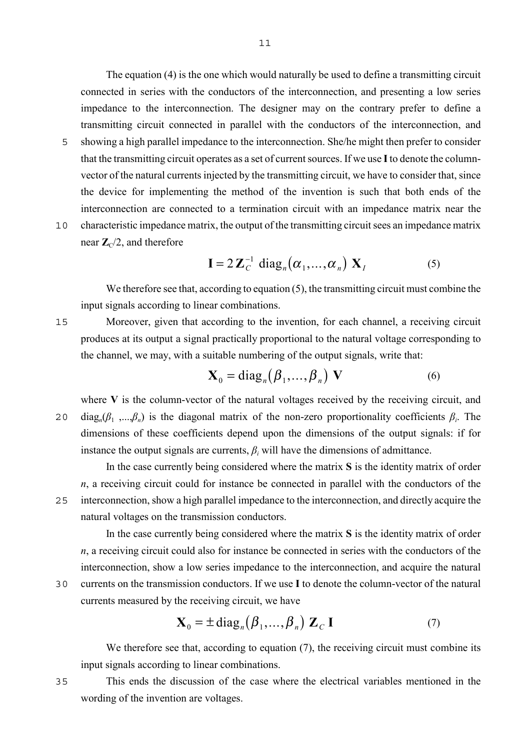The equation (4) is the one which would naturally be used to define a transmitting circuit connected in series with the conductors of the interconnection, and presenting a low series impedance to the interconnection. The designer may on the contrary prefer to define a transmitting circuit connected in parallel with the conductors of the interconnection, and 5 showing a high parallel impedance to the interconnection. She/he might then prefer to consider that the transmitting circuit operates as a set of current sources. If we use **I** to denote the columnvector of the natural currents injected by the transmitting circuit, we have to consider that, since the device for implementing the method of the invention is such that both ends of the

10 characteristic impedance matrix, the output of the transmitting circuit sees an impedance matrix near  $\mathbb{Z}_{C}/2$ , and therefore

fore  
\n
$$
\mathbf{I} = 2 \mathbf{Z}_C^{-1} \text{ diag}_n(\alpha_1, ..., \alpha_n) \mathbf{X}_I
$$
\n(5)

We therefore see that, according to equation (5), the transmitting circuit must combine the input signals according to linear combinations.

interconnection are connected to a termination circuit with an impedance matrix near the

15 Moreover, given that according to the invention, for each channel, a receiving circuit produces at its output a signal practically proportional to the natural voltage corresponding to the channel, we may, with a suitable numbering of the output signals, write that:

$$
\mathbf{X}_0 = \text{diag}_n(\boldsymbol{\beta}_1, \dots, \boldsymbol{\beta}_n) \mathbf{V}
$$
 (6)

where **V** is the column-vector of the natural voltages received by the receiving circuit, and 20 diag<sub>*n*</sub>( $β$ <sub>1</sub> ,..., $β$ <sub>*n*</sub>) is the diagonal matrix of the non-zero proportionality coefficients  $β$ <sub>*i*</sub>. The dimensions of these coefficients depend upon the dimensions of the output signals: if for instance the output signals are currents,  $\beta_i$  will have the dimensions of admittance.

In the case currently being considered where the matrix **S** is the identity matrix of order *n*, a receiving circuit could for instance be connected in parallel with the conductors of the 25 interconnection, show a high parallel impedance to the interconnection, and directly acquire the natural voltages on the transmission conductors.

In the case currently being considered where the matrix **S** is the identity matrix of order *n*, a receiving circuit could also for instance be connected in series with the conductors of the interconnection, show a low series impedance to the interconnection, and acquire the natural 30 currents on the transmission conductors. If we use **I** to denote the column-vector of the natural

currents measured by the receiving circuit, we have  
\n
$$
\mathbf{X}_0 = \pm \operatorname{diag}_n(\beta_1, ..., \beta_n) \mathbf{Z}_C \mathbf{I}
$$
\n(7)

We therefore see that, according to equation (7), the receiving circuit must combine its input signals according to linear combinations.

35 This ends the discussion of the case where the electrical variables mentioned in the wording of the invention are voltages.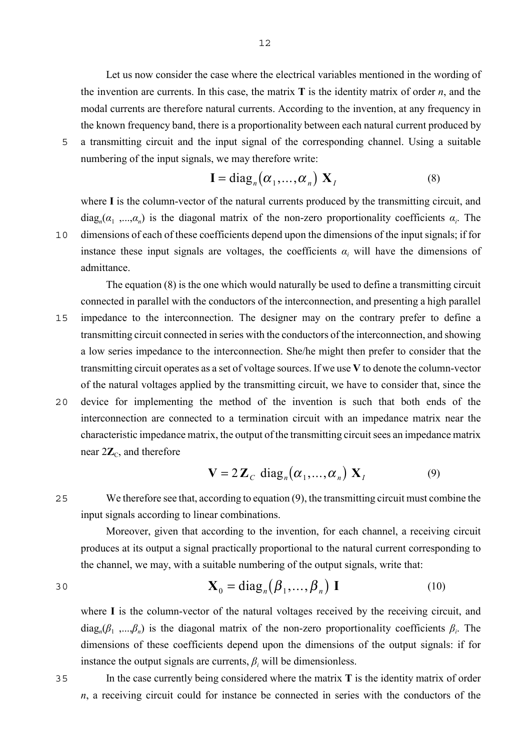Let us now consider the case where the electrical variables mentioned in the wording of the invention are currents. In this case, the matrix **T** is the identity matrix of order *n*, and the modal currents are therefore natural currents. According to the invention, at any frequency in the known frequency band, there is a proportionality between each natural current produced by

5 a transmitting circuit and the input signal of the corresponding channel. Using a suitable numbering of the input signals, we may therefore write:

$$
\mathbf{I} = \text{diag}_n(\alpha_1, ..., \alpha_n) \mathbf{X}_I
$$
 (8)

where **I** is the column-vector of the natural currents produced by the transmitting circuit, and  $diag_n(\alpha_1, \ldots, \alpha_n)$  is the diagonal matrix of the non-zero proportionality coefficients  $\alpha_i$ . The 10 dimensions of each of these coefficients depend upon the dimensions of the input signals; if for instance these input signals are voltages, the coefficients  $\alpha_i$  will have the dimensions of admittance.

The equation (8) is the one which would naturally be used to define a transmitting circuit connected in parallel with the conductors of the interconnection, and presenting a high parallel 15 impedance to the interconnection. The designer may on the contrary prefer to define a transmitting circuit connected in series with the conductors of the interconnection, and showing a low series impedance to the interconnection. She/he might then prefer to consider that the transmitting circuit operates as a set of voltage sources. If we use **V** to denote the column-vector of the natural voltages applied by the transmitting circuit, we have to consider that, since the 20 device for implementing the method of the invention is such that both ends of the interconnection are connected to a termination circuit with an impedance matrix near the characteristic impedance matrix, the output of the transmitting circuit sees an impedance matrix near  $2\mathbb{Z}_C$ , and therefore

$$
\mathbf{V} = 2\mathbf{Z}_C \text{ diag}_n(\boldsymbol{\alpha}_1, ..., \boldsymbol{\alpha}_n) \mathbf{X}_I
$$
 (9)

25 We therefore see that, according to equation (9), the transmitting circuit must combine the input signals according to linear combinations.

Moreover, given that according to the invention, for each channel, a receiving circuit produces at its output a signal practically proportional to the natural current corresponding to the channel, we may, with a suitable numbering of the output signals, write that:

$$
\mathbf{X}_0 = \text{diag}_n(\boldsymbol{\beta}_1, \dots, \boldsymbol{\beta}_n) \mathbf{I}
$$
 (10)

where **I** is the column-vector of the natural voltages received by the receiving circuit, and  $diag_n(\beta_1, \ldots, \beta_n)$  is the diagonal matrix of the non-zero proportionality coefficients  $\beta_i$ . The dimensions of these coefficients depend upon the dimensions of the output signals: if for instance the output signals are currents,  $\beta$ <sub>*i*</sub> will be dimensionless.

35 In the case currently being considered where the matrix **T** is the identity matrix of order *n*, a receiving circuit could for instance be connected in series with the conductors of the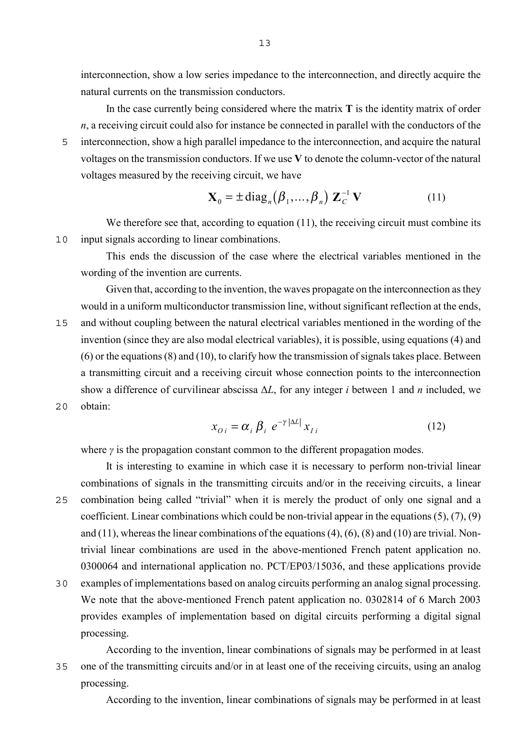interconnection, show a low series impedance to the interconnection, and directly acquire the natural currents on the transmission conductors.

In the case currently being considered where the matrix **T** is the identity matrix of order *n*, a receiving circuit could also for instance be connected in parallel with the conductors of the 5 interconnection, show a high parallel impedance to the interconnection, and acquire the natural voltages on the transmission conductors. If we use **V** to denote the column-vector of the natural voltages measured by the receiving circuit, we have

$$
\mathbf{X}_0 = \pm \operatorname{diag}_n(\boldsymbol{\beta}_1, \dots, \boldsymbol{\beta}_n) \mathbf{Z}_C^{-1} \mathbf{V}
$$
 (11)

We therefore see that, according to equation (11), the receiving circuit must combine its 10 input signals according to linear combinations.

This ends the discussion of the case where the electrical variables mentioned in the wording of the invention are currents.

Given that, according to the invention, the waves propagate on the interconnection as they would in a uniform multiconductor transmission line, without significant reflection at the ends, 15 and without coupling between the natural electrical variables mentioned in the wording of the invention (since they are also modal electrical variables), it is possible, using equations (4) and (6) or the equations (8) and (10), to clarify how the transmission of signals takes place. Between a transmitting circuit and a receiving circuit whose connection points to the interconnection show a difference of curvilinear abscissa ∆*L*, for any integer *i* between 1 and *n* included, we 20 obtain:

$$
x_{0i} = \alpha_i \beta_i e^{-\gamma |\Delta L|} x_{Ii}
$$
 (12)

where  $\gamma$  is the propagation constant common to the different propagation modes.

It is interesting to examine in which case it is necessary to perform non-trivial linear combinations of signals in the transmitting circuits and/or in the receiving circuits, a linear 25 combination being called "trivial" when it is merely the product of only one signal and a coefficient. Linear combinations which could be non-trivial appear in the equations (5), (7), (9) and (11), whereas the linear combinations of the equations (4), (6), (8) and (10) are trivial. Nontrivial linear combinations are used in the above-mentioned French patent application no. 0300064 and international application no. PCT/EP03/15036, and these applications provide

30 examples of implementations based on analog circuits performing an analog signal processing. We note that the above-mentioned French patent application no. 0302814 of 6 March 2003 provides examples of implementation based on digital circuits performing a digital signal processing.

According to the invention, linear combinations of signals may be performed in at least 35 one of the transmitting circuits and/or in at least one of the receiving circuits, using an analog processing.

According to the invention, linear combinations of signals may be performed in at least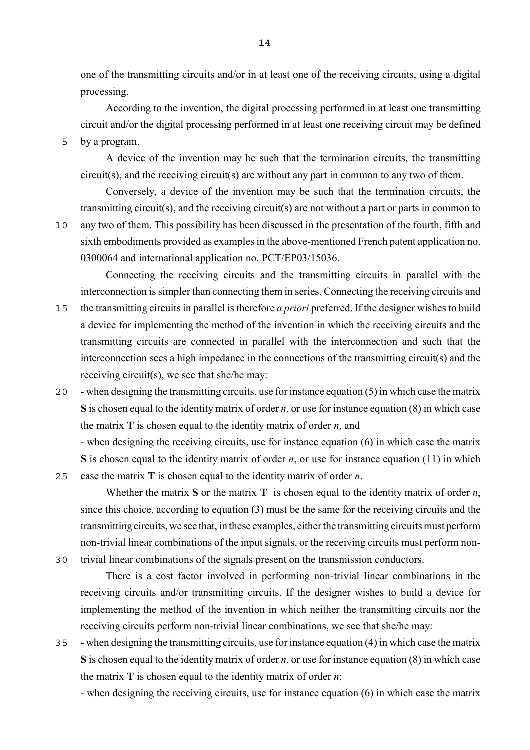one of the transmitting circuits and/or in at least one of the receiving circuits, using a digital processing.

According to the invention, the digital processing performed in at least one transmitting circuit and/or the digital processing performed in at least one receiving circuit may be defined

5 by a program.

A device of the invention may be such that the termination circuits, the transmitting circuit(s), and the receiving circuit(s) are without any part in common to any two of them.

Conversely, a device of the invention may be such that the termination circuits, the transmitting circuit(s), and the receiving circuit(s) are not without a part or parts in common to 10 any two of them. This possibility has been discussed in the presentation of the fourth, fifth and sixth embodiments provided as examples in the above-mentioned French patent application no. 0300064 and international application no. PCT/EP03/15036.

Connecting the receiving circuits and the transmitting circuits in parallel with the interconnection is simpler than connecting them in series. Connecting the receiving circuits and

- 15 the transmitting circuits in parallel is therefore *a priori* preferred. If the designer wishes to build a device for implementing the method of the invention in which the receiving circuits and the transmitting circuits are connected in parallel with the interconnection and such that the interconnection sees a high impedance in the connections of the transmitting circuit(s) and the receiving circuit(s), we see that she/he may:
- 20 when designing the transmitting circuits, use for instance equation (5) in which case the matrix **S** is chosen equal to the identity matrix of order *n*, or use for instance equation (8) in which case the matrix **T** is chosen equal to the identity matrix of order *n*, and

- when designing the receiving circuits, use for instance equation (6) in which case the matrix **S** is chosen equal to the identity matrix of order *n*, or use for instance equation (11) in which 25 case the matrix **T** is chosen equal to the identity matrix of order *n*.

Whether the matrix **S** or the matrix **T** is chosen equal to the identity matrix of order *n*, since this choice, according to equation (3) must be the same for the receiving circuits and the transmitting circuits, we see that, in these examples, either the transmitting circuits must perform non-trivial linear combinations of the input signals, or the receiving circuits must perform non-30 trivial linear combinations of the signals present on the transmission conductors.

There is a cost factor involved in performing non-trivial linear combinations in the receiving circuits and/or transmitting circuits. If the designer wishes to build a device for implementing the method of the invention in which neither the transmitting circuits nor the receiving circuits perform non-trivial linear combinations, we see that she/he may:

- 35 when designing the transmitting circuits, use for instance equation (4) in which case the matrix **S** is chosen equal to the identity matrix of order *n*, or use for instance equation (8) in which case the matrix **T** is chosen equal to the identity matrix of order *n*;
	- when designing the receiving circuits, use for instance equation (6) in which case the matrix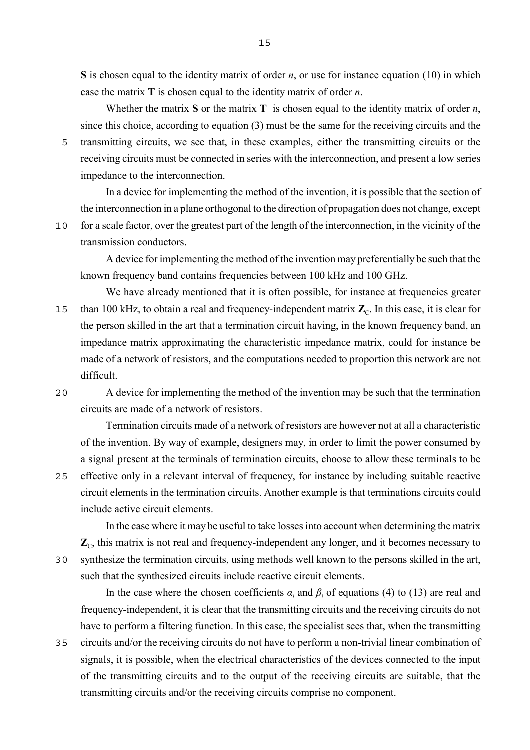**S** is chosen equal to the identity matrix of order *n*, or use for instance equation (10) in which case the matrix **T** is chosen equal to the identity matrix of order *n*.

Whether the matrix **S** or the matrix **T** is chosen equal to the identity matrix of order *n*, since this choice, according to equation (3) must be the same for the receiving circuits and the 5 transmitting circuits, we see that, in these examples, either the transmitting circuits or the receiving circuits must be connected in series with the interconnection, and present a low series impedance to the interconnection.

In a device for implementing the method of the invention, it is possible that the section of the interconnection in a plane orthogonal to the direction of propagation does not change, except 10 for a scale factor, over the greatest part of the length of the interconnection, in the vicinity of the

transmission conductors.

A device for implementing the method of the invention may preferentially be such that the known frequency band contains frequencies between 100 kHz and 100 GHz.

We have already mentioned that it is often possible, for instance at frequencies greater than 100 kHz, to obtain a real and frequency-independent matrix  $\mathbb{Z}_C$ . In this case, it is clear for the person skilled in the art that a termination circuit having, in the known frequency band, an impedance matrix approximating the characteristic impedance matrix, could for instance be made of a network of resistors, and the computations needed to proportion this network are not difficult.

20 A device for implementing the method of the invention may be such that the termination circuits are made of a network of resistors.

Termination circuits made of a network of resistors are however not at all a characteristic of the invention. By way of example, designers may, in order to limit the power consumed by a signal present at the terminals of termination circuits, choose to allow these terminals to be 25 effective only in a relevant interval of frequency, for instance by including suitable reactive circuit elements in the termination circuits. Another example is that terminations circuits could include active circuit elements.

In the case where it may be useful to take losses into account when determining the matrix  $\mathbb{Z}_C$ , this matrix is not real and frequency-independent any longer, and it becomes necessary to 30 synthesize the termination circuits, using methods well known to the persons skilled in the art, such that the synthesized circuits include reactive circuit elements.

In the case where the chosen coefficients  $\alpha_i$  and  $\beta_i$  of equations (4) to (13) are real and frequency-independent, it is clear that the transmitting circuits and the receiving circuits do not have to perform a filtering function. In this case, the specialist sees that, when the transmitting 35 circuits and/or the receiving circuits do not have to perform a non-trivial linear combination of signals, it is possible, when the electrical characteristics of the devices connected to the input of the transmitting circuits and to the output of the receiving circuits are suitable, that the transmitting circuits and/or the receiving circuits comprise no component.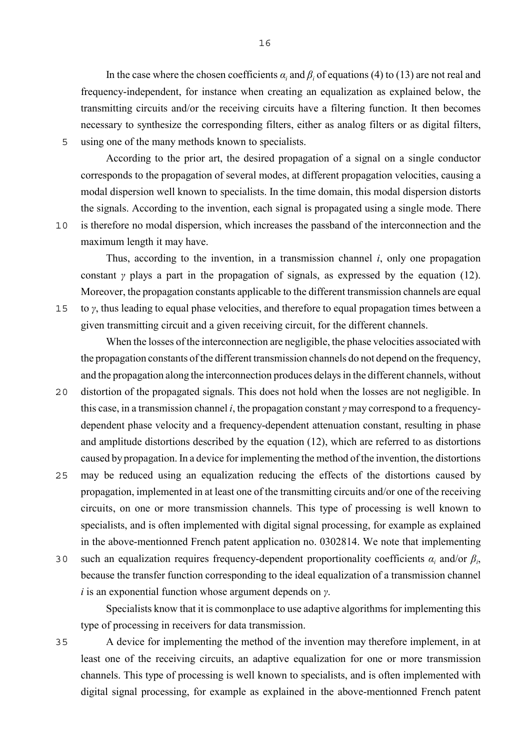In the case where the chosen coefficients  $\alpha_i$  and  $\beta_i$  of equations (4) to (13) are not real and frequency-independent, for instance when creating an equalization as explained below, the transmitting circuits and/or the receiving circuits have a filtering function. It then becomes necessary to synthesize the corresponding filters, either as analog filters or as digital filters, 5 using one of the many methods known to specialists.

According to the prior art, the desired propagation of a signal on a single conductor corresponds to the propagation of several modes, at different propagation velocities, causing a modal dispersion well known to specialists. In the time domain, this modal dispersion distorts the signals. According to the invention, each signal is propagated using a single mode. There 10 is therefore no modal dispersion, which increases the passband of the interconnection and the maximum length it may have.

Thus, according to the invention, in a transmission channel *i*, only one propagation constant *γ* plays a part in the propagation of signals, as expressed by the equation (12). Moreover, the propagation constants applicable to the different transmission channels are equal 15 to *γ*, thus leading to equal phase velocities, and therefore to equal propagation times between a given transmitting circuit and a given receiving circuit, for the different channels.

When the losses of the interconnection are negligible, the phase velocities associated with the propagation constants of the different transmission channels do not depend on the frequency, and the propagation along the interconnection produces delays in the different channels, without

- 20 distortion of the propagated signals. This does not hold when the losses are not negligible. In this case, in a transmission channel *i*, the propagation constant *γ* may correspond to a frequencydependent phase velocity and a frequency-dependent attenuation constant, resulting in phase and amplitude distortions described by the equation (12), which are referred to as distortions caused by propagation. In a device for implementing the method of the invention, the distortions
- 25 may be reduced using an equalization reducing the effects of the distortions caused by propagation, implemented in at least one of the transmitting circuits and/or one of the receiving circuits, on one or more transmission channels. This type of processing is well known to specialists, and is often implemented with digital signal processing, for example as explained in the above-mentionned French patent application no. 0302814. We note that implementing
- 30 such an equalization requires frequency-dependent proportionality coefficients  $α<sub>i</sub>$  and/or  $β<sub>i</sub>$ , because the transfer function corresponding to the ideal equalization of a transmission channel *i* is an exponential function whose argument depends on *γ*.

Specialists know that it is commonplace to use adaptive algorithms for implementing this type of processing in receivers for data transmission.

35 A device for implementing the method of the invention may therefore implement, in at least one of the receiving circuits, an adaptive equalization for one or more transmission channels. This type of processing is well known to specialists, and is often implemented with digital signal processing, for example as explained in the above-mentionned French patent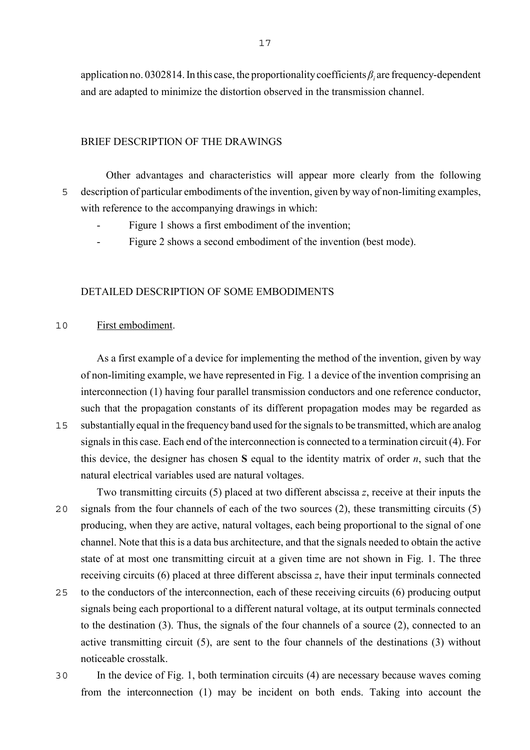application no. 0302814. In this case, the proportionality coefficients *β<sup>i</sup>* are frequency-dependent and are adapted to minimize the distortion observed in the transmission channel.

# BRIEF DESCRIPTION OF THE DRAWINGS

Other advantages and characteristics will appear more clearly from the following 5 description of particular embodiments of the invention, given by way of non-limiting examples, with reference to the accompanying drawings in which:

- Figure 1 shows a first embodiment of the invention;
- Figure 2 shows a second embodiment of the invention (best mode).

# DETAILED DESCRIPTION OF SOME EMBODIMENTS

### 10 First embodiment.

As a first example of a device for implementing the method of the invention, given by way of non-limiting example, we have represented in Fig. 1 a device of the invention comprising an interconnection (1) having four parallel transmission conductors and one reference conductor, such that the propagation constants of its different propagation modes may be regarded as

15 substantially equal in the frequency band used for the signals to be transmitted, which are analog signals in this case. Each end of the interconnection is connected to a termination circuit (4). For this device, the designer has chosen **S** equal to the identity matrix of order *n*, such that the natural electrical variables used are natural voltages.

Two transmitting circuits (5) placed at two different abscissa *z*, receive at their inputs the 20 signals from the four channels of each of the two sources (2), these transmitting circuits (5) producing, when they are active, natural voltages, each being proportional to the signal of one channel. Note that this is a data bus architecture, and that the signals needed to obtain the active state of at most one transmitting circuit at a given time are not shown in Fig. 1. The three receiving circuits (6) placed at three different abscissa *z*, have their input terminals connected

- 25 to the conductors of the interconnection, each of these receiving circuits (6) producing output signals being each proportional to a different natural voltage, at its output terminals connected to the destination (3). Thus, the signals of the four channels of a source (2), connected to an active transmitting circuit (5), are sent to the four channels of the destinations (3) without noticeable crosstalk.
- 30 In the device of Fig. 1, both termination circuits (4) are necessary because waves coming from the interconnection (1) may be incident on both ends. Taking into account the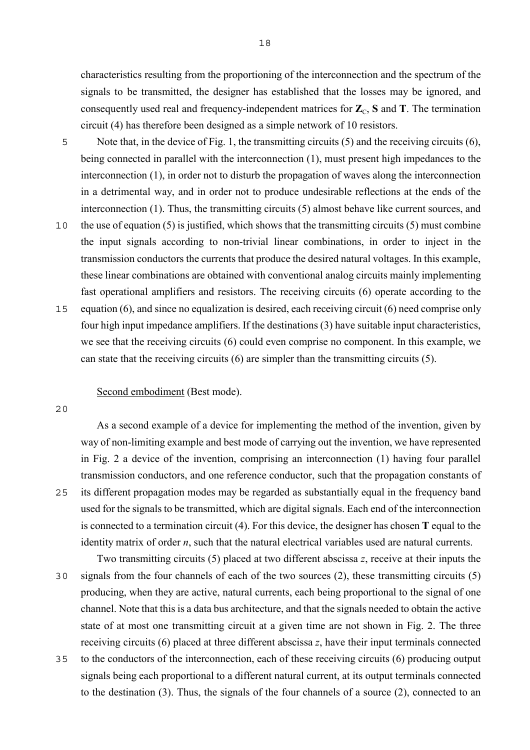characteristics resulting from the proportioning of the interconnection and the spectrum of the signals to be transmitted, the designer has established that the losses may be ignored, and consequently used real and frequency-independent matrices for  $\mathbb{Z}_C$ , **S** and **T**. The termination circuit (4) has therefore been designed as a simple network of 10 resistors.

- 5 Note that, in the device of Fig. 1, the transmitting circuits (5) and the receiving circuits (6), being connected in parallel with the interconnection (1), must present high impedances to the interconnection (1), in order not to disturb the propagation of waves along the interconnection in a detrimental way, and in order not to produce undesirable reflections at the ends of the interconnection (1). Thus, the transmitting circuits (5) almost behave like current sources, and
- 10 the use of equation (5) is justified, which shows that the transmitting circuits (5) must combine the input signals according to non-trivial linear combinations, in order to inject in the transmission conductors the currents that produce the desired natural voltages. In this example, these linear combinations are obtained with conventional analog circuits mainly implementing fast operational amplifiers and resistors. The receiving circuits (6) operate according to the
- 15 equation (6), and since no equalization is desired, each receiving circuit (6) need comprise only four high input impedance amplifiers. If the destinations (3) have suitable input characteristics, we see that the receiving circuits (6) could even comprise no component. In this example, we can state that the receiving circuits (6) are simpler than the transmitting circuits (5).

# Second embodiment (Best mode).

20

As a second example of a device for implementing the method of the invention, given by way of non-limiting example and best mode of carrying out the invention, we have represented in Fig. 2 a device of the invention, comprising an interconnection (1) having four parallel transmission conductors, and one reference conductor, such that the propagation constants of 25 its different propagation modes may be regarded as substantially equal in the frequency band used for the signals to be transmitted, which are digital signals. Each end of the interconnection is connected to a termination circuit (4). For this device, the designer has chosen **T** equal to the identity matrix of order *n*, such that the natural electrical variables used are natural currents.

Two transmitting circuits (5) placed at two different abscissa *z*, receive at their inputs the 30 signals from the four channels of each of the two sources (2), these transmitting circuits (5) producing, when they are active, natural currents, each being proportional to the signal of one channel. Note that this is a data bus architecture, and that the signals needed to obtain the active state of at most one transmitting circuit at a given time are not shown in Fig. 2. The three receiving circuits (6) placed at three different abscissa *z*, have their input terminals connected

35 to the conductors of the interconnection, each of these receiving circuits (6) producing output signals being each proportional to a different natural current, at its output terminals connected to the destination (3). Thus, the signals of the four channels of a source (2), connected to an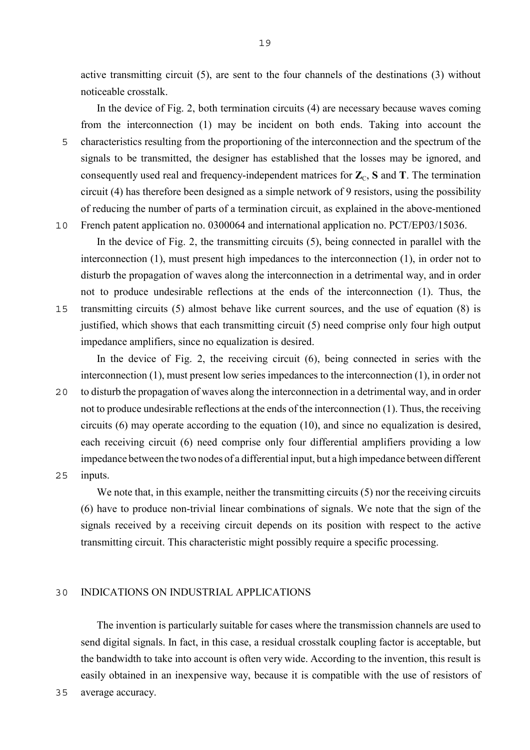active transmitting circuit (5), are sent to the four channels of the destinations (3) without noticeable crosstalk.

In the device of Fig. 2, both termination circuits (4) are necessary because waves coming from the interconnection (1) may be incident on both ends. Taking into account the 5 characteristics resulting from the proportioning of the interconnection and the spectrum of the signals to be transmitted, the designer has established that the losses may be ignored, and consequently used real and frequency-independent matrices for  $\mathbb{Z}_c$ , **S** and **T**. The termination circuit (4) has therefore been designed as a simple network of 9 resistors, using the possibility of reducing the number of parts of a termination circuit, as explained in the above-mentioned 10 French patent application no. 0300064 and international application no. PCT/EP03/15036.

In the device of Fig. 2, the transmitting circuits (5), being connected in parallel with the interconnection (1), must present high impedances to the interconnection (1), in order not to disturb the propagation of waves along the interconnection in a detrimental way, and in order not to produce undesirable reflections at the ends of the interconnection (1). Thus, the 15 transmitting circuits (5) almost behave like current sources, and the use of equation (8) is justified, which shows that each transmitting circuit (5) need comprise only four high output impedance amplifiers, since no equalization is desired.

In the device of Fig. 2, the receiving circuit (6), being connected in series with the interconnection (1), must present low series impedances to the interconnection (1), in order not 20 to disturb the propagation of waves along the interconnection in a detrimental way, and in order not to produce undesirable reflections at the ends of the interconnection (1). Thus, the receiving circuits (6) may operate according to the equation (10), and since no equalization is desired, each receiving circuit (6) need comprise only four differential amplifiers providing a low impedance between the two nodes of a differential input, but a high impedance between different

25 inputs.

We note that, in this example, neither the transmitting circuits  $(5)$  nor the receiving circuits (6) have to produce non-trivial linear combinations of signals. We note that the sign of the signals received by a receiving circuit depends on its position with respect to the active transmitting circuit. This characteristic might possibly require a specific processing.

# 30 INDICATIONS ON INDUSTRIAL APPLICATIONS

The invention is particularly suitable for cases where the transmission channels are used to send digital signals. In fact, in this case, a residual crosstalk coupling factor is acceptable, but the bandwidth to take into account is often very wide. According to the invention, this result is easily obtained in an inexpensive way, because it is compatible with the use of resistors of

35 average accuracy.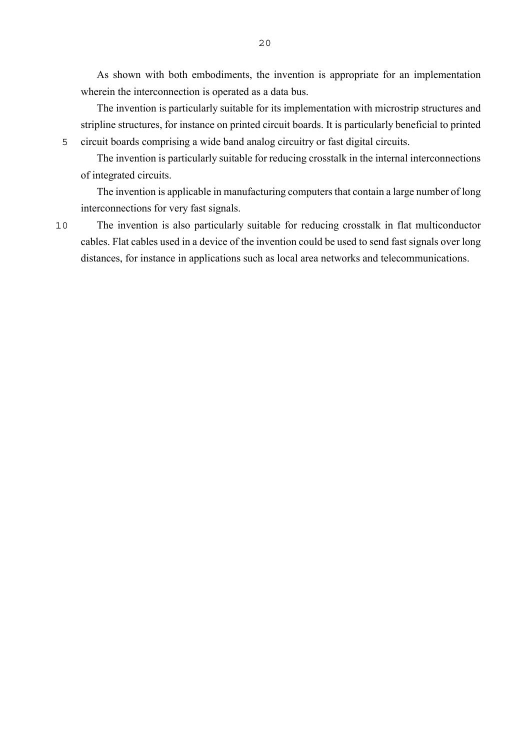As shown with both embodiments, the invention is appropriate for an implementation wherein the interconnection is operated as a data bus.

The invention is particularly suitable for its implementation with microstrip structures and stripline structures, for instance on printed circuit boards. It is particularly beneficial to printed 5 circuit boards comprising a wide band analog circuitry or fast digital circuits.

The invention is particularly suitable for reducing crosstalk in the internal interconnections of integrated circuits.

The invention is applicable in manufacturing computers that contain a large number of long interconnections for very fast signals.

10 The invention is also particularly suitable for reducing crosstalk in flat multiconductor cables. Flat cables used in a device of the invention could be used to send fast signals over long distances, for instance in applications such as local area networks and telecommunications.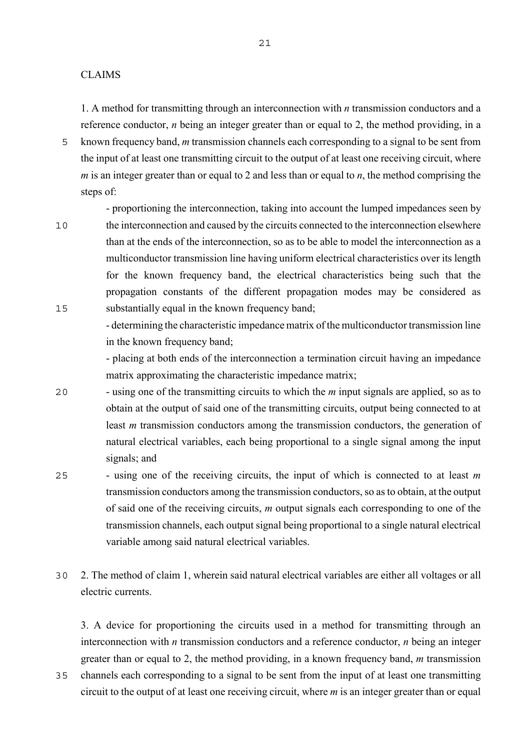**CLAIMS** 

1. A method for transmitting through an interconnection with *n* transmission conductors and a reference conductor, *n* being an integer greater than or equal to 2, the method providing, in a

5 known frequency band, *m* transmission channels each corresponding to a signal to be sent from the input of at least one transmitting circuit to the output of at least one receiving circuit, where *m* is an integer greater than or equal to 2 and less than or equal to *n*, the method comprising the steps of:

- proportioning the interconnection, taking into account the lumped impedances seen by 10 the interconnection and caused by the circuits connected to the interconnection elsewhere than at the ends of the interconnection, so as to be able to model the interconnection as a multiconductor transmission line having uniform electrical characteristics over its length for the known frequency band, the electrical characteristics being such that the propagation constants of the different propagation modes may be considered as 15 substantially equal in the known frequency band;

> - determining the characteristic impedance matrix of the multiconductor transmission line in the known frequency band;

> - placing at both ends of the interconnection a termination circuit having an impedance matrix approximating the characteristic impedance matrix;

- 20 using one of the transmitting circuits to which the *m* input signals are applied, so as to obtain at the output of said one of the transmitting circuits, output being connected to at least *m* transmission conductors among the transmission conductors, the generation of natural electrical variables, each being proportional to a single signal among the input signals; and
- 25 using one of the receiving circuits, the input of which is connected to at least *m* transmission conductors among the transmission conductors, so as to obtain, at the output of said one of the receiving circuits, *m* output signals each corresponding to one of the transmission channels, each output signal being proportional to a single natural electrical variable among said natural electrical variables.
- 30 2. The method of claim 1, wherein said natural electrical variables are either all voltages or all electric currents.

3. A device for proportioning the circuits used in a method for transmitting through an interconnection with *n* transmission conductors and a reference conductor, *n* being an integer greater than or equal to 2, the method providing, in a known frequency band, *m* transmission

35 channels each corresponding to a signal to be sent from the input of at least one transmitting circuit to the output of at least one receiving circuit, where *m* is an integer greater than or equal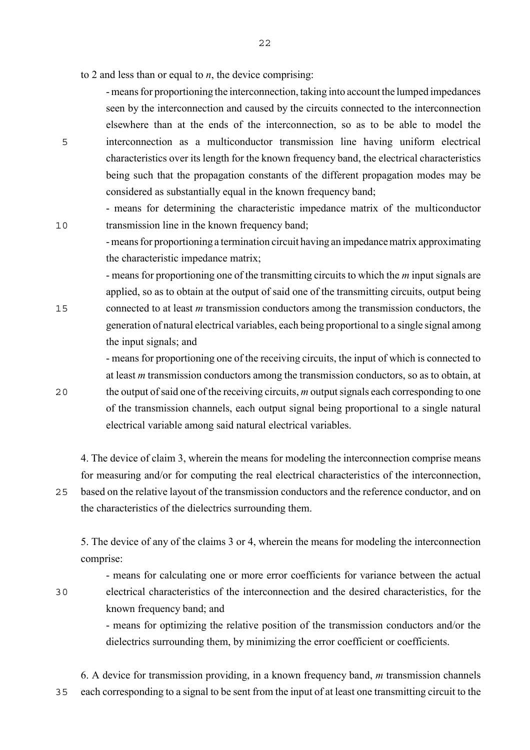to 2 and less than or equal to *n*, the device comprising:

- means for proportioning the interconnection, taking into account the lumped impedances seen by the interconnection and caused by the circuits connected to the interconnection elsewhere than at the ends of the interconnection, so as to be able to model the 5 interconnection as a multiconductor transmission line having uniform electrical characteristics over its length for the known frequency band, the electrical characteristics being such that the propagation constants of the different propagation modes may be considered as substantially equal in the known frequency band;

- means for determining the characteristic impedance matrix of the multiconductor 10 transmission line in the known frequency band;

> - means for proportioning a termination circuit having an impedance matrix approximating the characteristic impedance matrix;

- means for proportioning one of the transmitting circuits to which the *m* input signals are applied, so as to obtain at the output of said one of the transmitting circuits, output being 15 connected to at least *m* transmission conductors among the transmission conductors, the generation of natural electrical variables, each being proportional to a single signal among the input signals; and

- means for proportioning one of the receiving circuits, the input of which is connected to at least *m* transmission conductors among the transmission conductors, so as to obtain, at 20 the output of said one of the receiving circuits, *m* output signals each corresponding to one of the transmission channels, each output signal being proportional to a single natural electrical variable among said natural electrical variables.

4. The device of claim 3, wherein the means for modeling the interconnection comprise means for measuring and/or for computing the real electrical characteristics of the interconnection, 25 based on the relative layout of the transmission conductors and the reference conductor, and on

the characteristics of the dielectrics surrounding them.

5. The device of any of the claims 3 or 4, wherein the means for modeling the interconnection comprise:

- means for calculating one or more error coefficients for variance between the actual 30 electrical characteristics of the interconnection and the desired characteristics, for the known frequency band; and

> - means for optimizing the relative position of the transmission conductors and/or the dielectrics surrounding them, by minimizing the error coefficient or coefficients.

6. A device for transmission providing, in a known frequency band, *m* transmission channels 35 each corresponding to a signal to be sent from the input of at least one transmitting circuit to the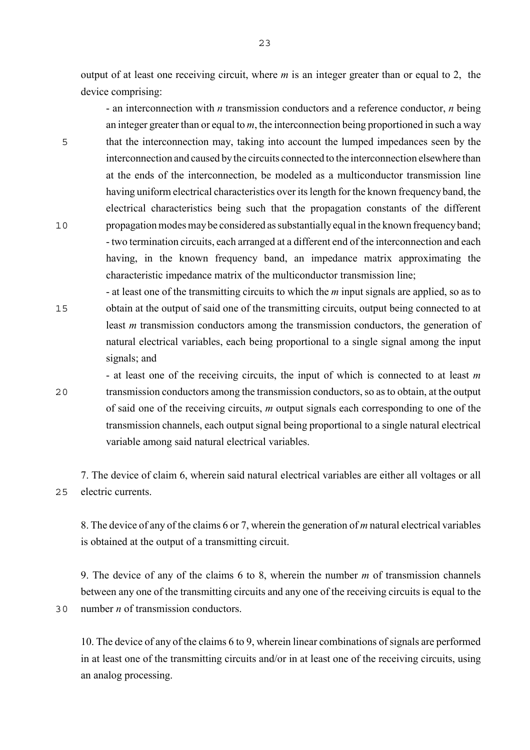output of at least one receiving circuit, where *m* is an integer greater than or equal to 2, the device comprising:

- an interconnection with *n* transmission conductors and a reference conductor, *n* being an integer greater than or equal to *m*, the interconnection being proportioned in such a way 5 that the interconnection may, taking into account the lumped impedances seen by the interconnection and caused by the circuits connected to the interconnection elsewhere than at the ends of the interconnection, be modeled as a multiconductor transmission line having uniform electrical characteristics over its length for the known frequency band, the electrical characteristics being such that the propagation constants of the different 10 propagation modes may be considered as substantially equal in the known frequency band; - two termination circuits, each arranged at a different end of the interconnection and each having, in the known frequency band, an impedance matrix approximating the characteristic impedance matrix of the multiconductor transmission line;

- at least one of the transmitting circuits to which the *m* input signals are applied, so as to 15 obtain at the output of said one of the transmitting circuits, output being connected to at least *m* transmission conductors among the transmission conductors, the generation of natural electrical variables, each being proportional to a single signal among the input signals; and

- at least one of the receiving circuits, the input of which is connected to at least *m* 20 transmission conductors among the transmission conductors, so as to obtain, at the output of said one of the receiving circuits, *m* output signals each corresponding to one of the transmission channels, each output signal being proportional to a single natural electrical variable among said natural electrical variables.

7. The device of claim 6, wherein said natural electrical variables are either all voltages or all 25 electric currents.

8. The device of any of the claims 6 or 7, wherein the generation of *m* natural electrical variables is obtained at the output of a transmitting circuit.

9. The device of any of the claims 6 to 8, wherein the number *m* of transmission channels between any one of the transmitting circuits and any one of the receiving circuits is equal to the 30 number *n* of transmission conductors.

10. The device of any of the claims 6 to 9, wherein linear combinations of signals are performed in at least one of the transmitting circuits and/or in at least one of the receiving circuits, using an analog processing.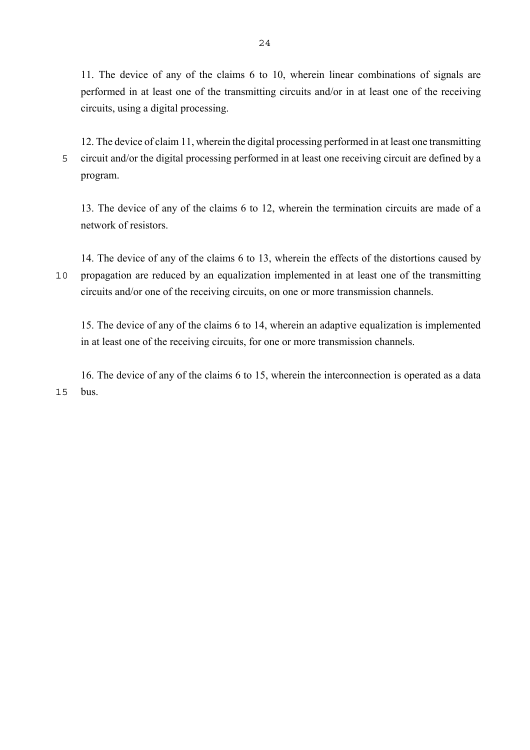11. The device of any of the claims 6 to 10, wherein linear combinations of signals are performed in at least one of the transmitting circuits and/or in at least one of the receiving circuits, using a digital processing.

12. The device of claim 11, wherein the digital processing performed in at least one transmitting 5 circuit and/or the digital processing performed in at least one receiving circuit are defined by a program.

13. The device of any of the claims 6 to 12, wherein the termination circuits are made of a network of resistors.

14. The device of any of the claims 6 to 13, wherein the effects of the distortions caused by 10 propagation are reduced by an equalization implemented in at least one of the transmitting circuits and/or one of the receiving circuits, on one or more transmission channels.

15. The device of any of the claims 6 to 14, wherein an adaptive equalization is implemented in at least one of the receiving circuits, for one or more transmission channels.

16. The device of any of the claims 6 to 15, wherein the interconnection is operated as a data 15 bus.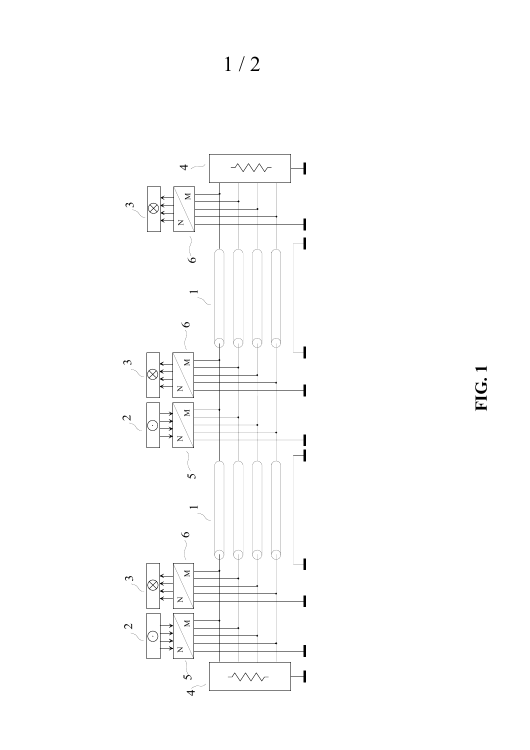